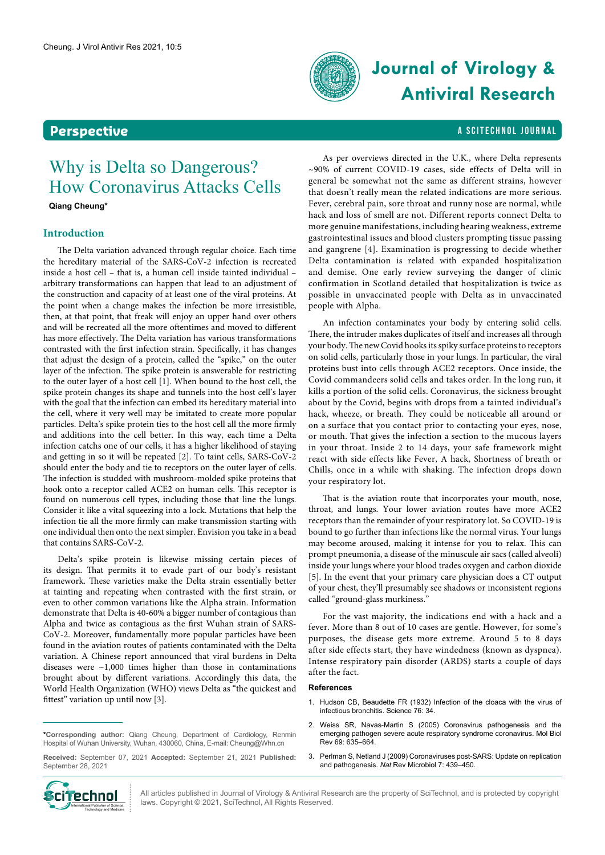

# **Journal of Virology & Antiviral Research**

## **Perspective** A SCITECHNOL JOURNAL

# Why is Delta so Dangerous? How Coronavirus Attacks Cells

**Qiang [Cheung\\*](https://www.familyeducation.com/baby-names/name-meaning/cheung?role=family)**

### **Introduction**

The Delta variation advanced through regular choice. Each time the hereditary material of the SARS-CoV-2 infection is recreated inside a host cell – that is, a human cell inside tainted individual – arbitrary transformations can happen that lead to an adjustment of the construction and capacity of at least one of the viral proteins. At the point when a change makes the infection be more irresistible, then, at that point, that freak will enjoy an upper hand over others and will be recreated all the more oftentimes and moved to different has more effectively. The Delta variation has various transformations contrasted with the first infection strain. Specifically, it has changes that adjust the design of a protein, called the "spike," on the outer layer of the infection. The spike protein is answerable for restricting to the outer layer of a host cell [1]. When bound to the host cell, the spike protein changes its shape and tunnels into the host cell's layer with the goal that the infection can embed its hereditary material into the cell, where it very well may be imitated to create more popular particles. Delta's spike protein ties to the host cell all the more firmly and additions into the cell better. In this way, each time a Delta infection catchs one of our cells, it has a higher likelihood of staying and getting in so it will be repeated [2]. To taint cells, SARS-CoV-2 should enter the body and tie to receptors on the outer layer of cells. The infection is studded with mushroom-molded spike proteins that hook onto a receptor called ACE2 on human cells. This receptor is found on numerous cell types, including those that line the lungs. Consider it like a vital squeezing into a lock. Mutations that help the infection tie all the more firmly can make transmission starting with one individual then onto the next simpler. Envision you take in a bead that contains SARS-CoV-2.

Delta's spike protein is likewise missing certain pieces of its design. That permits it to evade part of our body's resistant framework. These varieties make the Delta strain essentially better at tainting and repeating when contrasted with the first strain, or even to other common variations like the Alpha strain. Information demonstrate that Delta is 40-60% a bigger number of contagious than Alpha and twice as contagious as the first Wuhan strain of SARS-CoV-2. Moreover, fundamentally more popular particles have been found in the aviation routes of patients contaminated with the Delta variation. A Chinese report announced that viral burdens in Delta diseases were ~1,000 times higher than those in contaminations brought about by different variations. Accordingly this data, the World Health Organization (WHO) views Delta as "the quickest and fittest" variation up until now [3].

**\*Corresponding author:** Qiang Cheung, Department of Cardiology, Renmin Hospital of Wuhan University, Wuhan, 430060, China, E-mail: Cheung@Whn.cn

**Received:** September 07, 2021 **Accepted:** September 21, 2021 **Published:** September 28, 2021



All articles published in Journal of Virology & Antiviral Research are the property of SciTechnol, and is protected by copyright laws. Copyright © 2021, SciTechnol, All Rights Reserved.

As per overviews directed in the U.K., where Delta represents ~90% of current COVID-19 cases, side effects of Delta will in general be somewhat not the same as different strains, however that doesn't really mean the related indications are more serious. Fever, cerebral pain, sore throat and runny nose are normal, while hack and loss of smell are not. Different reports connect Delta to more genuine manifestations, including hearing weakness, extreme gastrointestinal issues and blood clusters prompting tissue passing and gangrene [4]. Examination is progressing to decide whether Delta contamination is related with expanded hospitalization and demise. One early review surveying the danger of clinic confirmation in Scotland detailed that hospitalization is twice as possible in unvaccinated people with Delta as in unvaccinated people with Alpha.

An infection contaminates your body by entering solid cells. There, the intruder makes duplicates of itself and increases all through your body. The new Covid hooks its spiky surface proteins to receptors on solid cells, particularly those in your lungs. In particular, the viral proteins bust into cells through ACE2 receptors. Once inside, the Covid commandeers solid cells and takes order. In the long run, it kills a portion of the solid cells. Coronavirus, the sickness brought about by the Covid, begins with drops from a tainted individual's hack, wheeze, or breath. They could be noticeable all around or on a surface that you contact prior to contacting your eyes, nose, or mouth. That gives the infection a section to the mucous layers in your throat. Inside 2 to 14 days, your safe framework might react with side effects like Fever, A hack, Shortness of breath or Chills, once in a while with shaking. The infection drops down your respiratory lot.

That is the aviation route that incorporates your mouth, nose, throat, and lungs. Your lower aviation routes have more ACE2 receptors than the remainder of your respiratory lot. So COVID-19 is bound to go further than infections like the normal virus. Your lungs may become aroused, making it intense for you to relax. This can prompt pneumonia, a disease of the minuscule air sacs (called alveoli) inside your lungs where your blood trades oxygen and carbon dioxide [5]. In the event that your primary care physician does a CT output of your chest, they'll presumably see shadows or inconsistent regions called "ground-glass murkiness."

For the vast majority, the indications end with a hack and a fever. More than 8 out of 10 cases are gentle. However, for some's purposes, the disease gets more extreme. Around 5 to 8 days after side effects start, they have windedness (known as dyspnea). Intense respiratory pain disorder (ARDS) starts a couple of days after the fact.

### **References**

- 1. [Hudson CB, Beaudette FR \(1932\) Infection of the cloaca with the virus of](DOI: 10.1126/science.76.1958.34-a)  [infectious bronchitis.](DOI: 10.1126/science.76.1958.34-a) Science 76: 34.
- 2. [Weiss SR, Navas-Martin S \(2005\) Coronavirus pathogenesis and the](doi: 10.1128/MMBR.69.4.635-664.2005.)  [emerging pathogen severe acute respiratory syndrome coronavirus. Mol Biol](doi: 10.1128/MMBR.69.4.635-664.2005.)  Rev [69: 635–664.](doi: 10.1128/MMBR.69.4.635-664.2005.)
- 3. [Perlman S, Netland J \(2009\) Coronaviruses post-SARS: Update on replication](doi: 10.1038/nrmicro2147.)  [and pathogenesis.](doi: 10.1038/nrmicro2147.) *Nat* Rev Microbiol 7: 439–450.